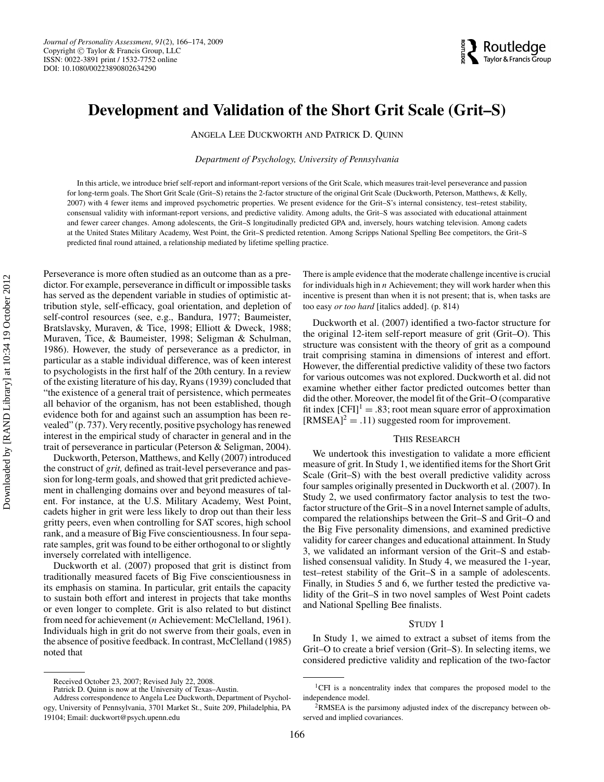# **Development and Validation of the Short Grit Scale (Grit–S)**

ANGELA LEE DUCKWORTH AND PATRICK D. QUINN

*Department of Psychology, University of Pennsylvania*

In this article, we introduce brief self-report and informant-report versions of the Grit Scale, which measures trait-level perseverance and passion for long-term goals. The Short Grit Scale (Grit–S) retains the 2-factor structure of the original Grit Scale (Duckworth, Peterson, Matthews, & Kelly, 2007) with 4 fewer items and improved psychometric properties. We present evidence for the Grit–S's internal consistency, test–retest stability, consensual validity with informant-report versions, and predictive validity. Among adults, the Grit–S was associated with educational attainment and fewer career changes. Among adolescents, the Grit–S longitudinally predicted GPA and, inversely, hours watching television. Among cadets at the United States Military Academy, West Point, the Grit–S predicted retention. Among Scripps National Spelling Bee competitors, the Grit–S predicted final round attained, a relationship mediated by lifetime spelling practice.

Perseverance is more often studied as an outcome than as a predictor. For example, perseverance in difficult or impossible tasks has served as the dependent variable in studies of optimistic attribution style, self-efficacy, goal orientation, and depletion of self-control resources (see, e.g., Bandura, 1977; Baumeister, Bratslavsky, Muraven, & Tice, 1998; Elliott & Dweck, 1988; Muraven, Tice, & Baumeister, 1998; Seligman & Schulman, 1986). However, the study of perseverance as a predictor, in particular as a stable individual difference, was of keen interest to psychologists in the first half of the 20th century. In a review of the existing literature of his day, Ryans (1939) concluded that "the existence of a general trait of persistence, which permeates all behavior of the organism, has not been established, though evidence both for and against such an assumption has been revealed" (p. 737). Very recently, positive psychology has renewed interest in the empirical study of character in general and in the trait of perseverance in particular (Peterson & Seligman, 2004).

Duckworth, Peterson, Matthews, and Kelly (2007) introduced the construct of *grit,* defined as trait-level perseverance and passion for long-term goals, and showed that grit predicted achievement in challenging domains over and beyond measures of talent. For instance, at the U.S. Military Academy, West Point, cadets higher in grit were less likely to drop out than their less gritty peers, even when controlling for SAT scores, high school rank, and a measure of Big Five conscientiousness. In four separate samples, grit was found to be either orthogonal to or slightly inversely correlated with intelligence.

Duckworth et al. (2007) proposed that grit is distinct from traditionally measured facets of Big Five conscientiousness in its emphasis on stamina. In particular, grit entails the capacity to sustain both effort and interest in projects that take months or even longer to complete. Grit is also related to but distinct from need for achievement (*n* Achievement: McClelland, 1961). Individuals high in grit do not swerve from their goals, even in the absence of positive feedback. In contrast, McClelland (1985) noted that

There is ample evidence that the moderate challenge incentive is crucial for individuals high in *n* Achievement; they will work harder when this incentive is present than when it is not present; that is, when tasks are too easy *or too hard* [italics added]. (p. 814)

Duckworth et al. (2007) identified a two-factor structure for the original 12-item self-report measure of grit (Grit–O). This structure was consistent with the theory of grit as a compound trait comprising stamina in dimensions of interest and effort. However, the differential predictive validity of these two factors for various outcomes was not explored. Duckworth et al. did not examine whether either factor predicted outcomes better than did the other. Moreover, the model fit of the Grit–O (comparative fit index  $[CFI]$ <sup>1</sup> = .83; root mean square error of approximation  $[RMSEA]^2 = .11$ ) suggested room for improvement.

## THIS RESEARCH

We undertook this investigation to validate a more efficient measure of grit. In Study 1, we identified items for the Short Grit Scale (Grit–S) with the best overall predictive validity across four samples originally presented in Duckworth et al. (2007). In Study 2, we used confirmatory factor analysis to test the twofactor structure of the Grit–S in a novel Internet sample of adults, compared the relationships between the Grit–S and Grit–O and the Big Five personality dimensions, and examined predictive validity for career changes and educational attainment. In Study 3, we validated an informant version of the Grit–S and established consensual validity. In Study 4, we measured the 1-year, test–retest stability of the Grit–S in a sample of adolescents. Finally, in Studies 5 and 6, we further tested the predictive validity of the Grit–S in two novel samples of West Point cadets and National Spelling Bee finalists.

#### STUDY 1

In Study 1, we aimed to extract a subset of items from the Grit–O to create a brief version (Grit–S). In selecting items, we considered predictive validity and replication of the two-factor

Received October 23, 2007; Revised July 22, 2008.

Patrick D. Quinn is now at the University of Texas–Austin.

Address correspondence to Angela Lee Duckworth, Department of Psychology, University of Pennsylvania, 3701 Market St., Suite 209, Philadelphia, PA 19104; Email: duckwort@psych.upenn.edu

<sup>&</sup>lt;sup>1</sup>CFI is a noncentrality index that compares the proposed model to the independence model.

 $2$ RMSEA is the parsimony adjusted index of the discrepancy between observed and implied covariances.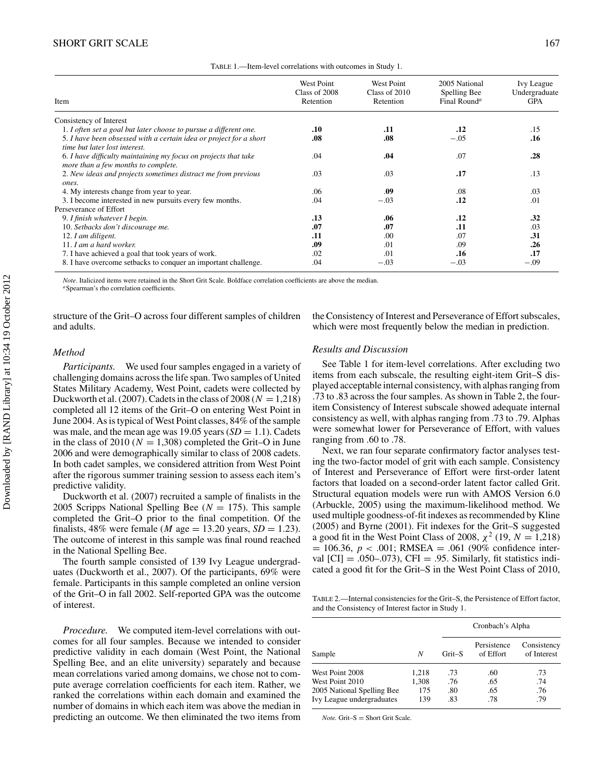| TABLE 1.—Item-level correlations with outcomes in Study 1. |  |
|------------------------------------------------------------|--|
|------------------------------------------------------------|--|

| Item                                                                                                   | West Point<br>Class of 2008<br>Retention | West Point<br>Class of 2010<br>Retention | 2005 National<br>Spelling Bee<br>Final Round <sup>a</sup> | Ivy League<br>Undergraduate<br><b>GPA</b> |
|--------------------------------------------------------------------------------------------------------|------------------------------------------|------------------------------------------|-----------------------------------------------------------|-------------------------------------------|
| Consistency of Interest                                                                                |                                          |                                          |                                                           |                                           |
| 1. I often set a goal but later choose to pursue a different one.                                      | .10                                      | .11                                      | .12                                                       | .15                                       |
| 5. I have been obsessed with a certain idea or project for a short<br>time but later lost interest.    | .08                                      | .08                                      | $-.05$                                                    | .16                                       |
| 6. I have difficulty maintaining my focus on projects that take<br>more than a few months to complete. | .04                                      | .04                                      | .07                                                       | .28                                       |
| 2. New ideas and projects sometimes distract me from previous<br>ones.                                 | .03                                      | .03                                      | .17                                                       | .13                                       |
| 4. My interests change from year to year.                                                              | .06                                      | .09                                      | .08                                                       | .03                                       |
| 3. I become interested in new pursuits every few months.                                               | .04                                      | $-.03$                                   | .12                                                       | .01                                       |
| Perseverance of Effort                                                                                 |                                          |                                          |                                                           |                                           |
| 9. I finish whatever I begin.                                                                          | .13                                      | .06                                      | .12                                                       | .32                                       |
| 10. Setbacks don't discourage me.                                                                      | .07                                      | .07                                      | .11                                                       | .03                                       |
| 12. I am diligent.                                                                                     | .11                                      | .00                                      | .07                                                       | .31                                       |
| 11. I am a hard worker.                                                                                | .09                                      | -01                                      | .09                                                       | .26                                       |
| 7. I have achieved a goal that took years of work.                                                     | .02                                      | .01                                      | .16                                                       | .17                                       |
| 8. I have overcome setbacks to conquer an important challenge.                                         | .04                                      | $-.03$                                   | $-.03$                                                    | $-.09$                                    |

*Note*. Italicized items were retained in the Short Grit Scale. Boldface correlation coefficients are above the median. *a*Spearman's rho correlation coefficients.

structure of the Grit–O across four different samples of children and adults.

the Consistency of Interest and Perseverance of Effort subscales, which were most frequently below the median in prediction.

## *Method*

*Participants.* We used four samples engaged in a variety of challenging domains across the life span. Two samples of United States Military Academy, West Point, cadets were collected by Duckworth et al. (2007). Cadets in the class of  $2008 (N = 1,218)$ completed all 12 items of the Grit–O on entering West Point in June 2004. As is typical of West Point classes, 84% of the sample was male, and the mean age was  $19.05$  years  $(SD = 1.1)$ . Cadets in the class of 2010 ( $N = 1,308$ ) completed the Grit–O in June 2006 and were demographically similar to class of 2008 cadets. In both cadet samples, we considered attrition from West Point after the rigorous summer training session to assess each item's predictive validity.

Duckworth et al. (2007) recruited a sample of finalists in the 2005 Scripps National Spelling Bee  $(N = 175)$ . This sample completed the Grit–O prior to the final competition. Of the finalists, 48% were female ( $M$  age = 13.20 years,  $SD = 1.23$ ). The outcome of interest in this sample was final round reached in the National Spelling Bee.

The fourth sample consisted of 139 Ivy League undergraduates (Duckworth et al., 2007). Of the participants, 69% were female. Participants in this sample completed an online version of the Grit–O in fall 2002. Self-reported GPA was the outcome of interest.

*Procedure.* We computed item-level correlations with outcomes for all four samples. Because we intended to consider predictive validity in each domain (West Point, the National Spelling Bee, and an elite university) separately and because mean correlations varied among domains, we chose not to compute average correlation coefficients for each item. Rather, we ranked the correlations within each domain and examined the number of domains in which each item was above the median in predicting an outcome. We then eliminated the two items from

#### *Results and Discussion*

See Table 1 for item-level correlations. After excluding two items from each subscale, the resulting eight-item Grit–S displayed acceptable internal consistency, with alphas ranging from .73 to .83 across the four samples. As shown in Table 2, the fouritem Consistency of Interest subscale showed adequate internal consistency as well, with alphas ranging from .73 to .79. Alphas were somewhat lower for Perseverance of Effort, with values ranging from .60 to .78.

Next, we ran four separate confirmatory factor analyses testing the two-factor model of grit with each sample. Consistency of Interest and Perseverance of Effort were first-order latent factors that loaded on a second-order latent factor called Grit. Structural equation models were run with AMOS Version 6.0 (Arbuckle, 2005) using the maximum-likelihood method. We used multiple goodness-of-fit indexes as recommended by Kline (2005) and Byrne (2001). Fit indexes for the Grit–S suggested a good fit in the West Point Class of 2008,  $\chi^2$  (19,  $N = 1,218$ )  $= 106.36, p < .001$ ; RMSEA  $= .061$  (90% confidence interval  $\text{[CI]} = .050-.073$ , CFI = .95. Similarly, fit statistics indicated a good fit for the Grit–S in the West Point Class of 2010,

TABLE 2.—Internal consistencies for the Grit–S, the Persistence of Effort factor, and the Consistency of Interest factor in Study 1.

|                            |       | Cronbach's Alpha |                          |                            |  |  |  |
|----------------------------|-------|------------------|--------------------------|----------------------------|--|--|--|
| Sample                     | N     | Grit-S           | Persistence<br>of Effort | Consistency<br>of Interest |  |  |  |
| West Point 2008            | 1.218 | .73              | .60                      | .73                        |  |  |  |
| West Point 2010            | 1,308 | .76              | .65                      | .74                        |  |  |  |
| 2005 National Spelling Bee | 175   | .80              | .65                      | .76                        |  |  |  |
| Ivy League undergraduates  | 139   | .83              | .78                      | .79                        |  |  |  |

 $Note.$  Grit– $S =$ Short Grit Scale.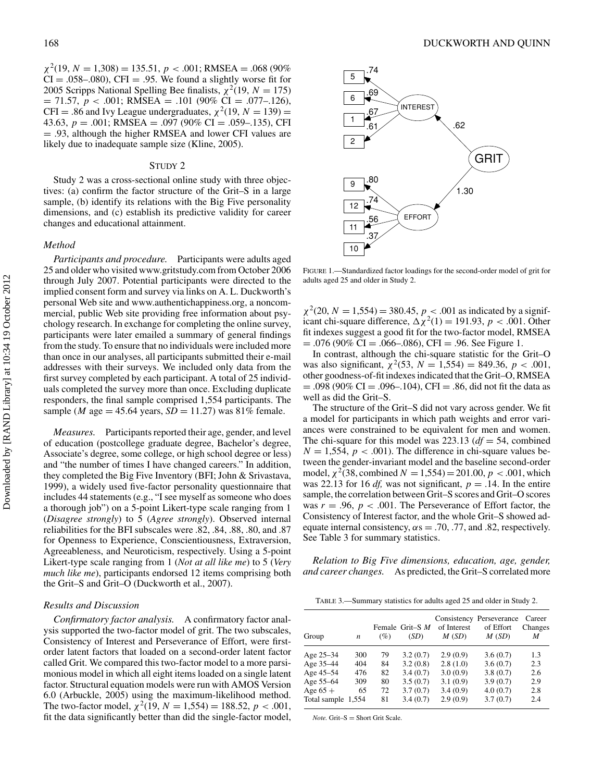$\chi^2(19, N = 1,308) = 135.51, p < .001; RMSEA = .068 (90\%)$  $CI = .058-.080$ , CFI = .95. We found a slightly worse fit for 2005 Scripps National Spelling Bee finalists,  $\chi^2(19, N = 175)$ = 71.57, *p <* .001; RMSEA = .101 (90% CI = .077–.126),  $CFI = .86$  and Ivy League undergraduates,  $\chi^2(19, N = 139) =$ 43.63,  $p = .001$ ; RMSEA = .097 (90% CI = .059–.135), CFI = .93, although the higher RMSEA and lower CFI values are likely due to inadequate sample size (Kline, 2005).

#### STUDY 2

Study 2 was a cross-sectional online study with three objectives: (a) confirm the factor structure of the Grit–S in a large sample, (b) identify its relations with the Big Five personality dimensions, and (c) establish its predictive validity for career changes and educational attainment.

## *Method*

*Participants and procedure.* Participants were adults aged 25 and older who visited www.gritstudy.com from October 2006 through July 2007. Potential participants were directed to the implied consent form and survey via links on A. L. Duckworth's personal Web site and www.authentichappiness.org, a noncommercial, public Web site providing free information about psychology research. In exchange for completing the online survey, participants were later emailed a summary of general findings from the study. To ensure that no individuals were included more than once in our analyses, all participants submitted their e-mail addresses with their surveys. We included only data from the first survey completed by each participant. A total of 25 individuals completed the survey more than once. Excluding duplicate responders, the final sample comprised 1,554 participants. The sample (*M* age = 45.64 years,  $SD = 11.27$ ) was 81% female.

*Measures.* Participants reported their age, gender, and level of education (postcollege graduate degree, Bachelor's degree, Associate's degree, some college, or high school degree or less) and "the number of times I have changed careers." In addition, they completed the Big Five Inventory (BFI; John & Srivastava, 1999), a widely used five-factor personality questionnaire that includes 44 statements (e.g., "I see myself as someone who does a thorough job") on a 5-point Likert-type scale ranging from 1 (*Disagree strongly*) to 5 (*Agree strongly*). Observed internal reliabilities for the BFI subscales were .82, .84, .88, .80, and .87 for Openness to Experience, Conscientiousness, Extraversion, Agreeableness, and Neuroticism, respectively. Using a 5-point Likert-type scale ranging from 1 (*Not at all like me*) to 5 (*Very much like me*), participants endorsed 12 items comprising both the Grit–S and Grit–O (Duckworth et al., 2007).

#### *Results and Discussion*

*Confirmatory factor analysis.* A confirmatory factor analysis supported the two-factor model of grit. The two subscales, Consistency of Interest and Perseverance of Effort, were firstorder latent factors that loaded on a second-order latent factor called Grit. We compared this two-factor model to a more parsimonious model in which all eight items loaded on a single latent factor. Structural equation models were run with AMOS Version 6.0 (Arbuckle, 2005) using the maximum-likelihood method. The two-factor model,  $\chi^2(19, N = 1,554) = 188.52, p < .001$ , fit the data significantly better than did the single-factor model,



FIGURE 1.—Standardized factor loadings for the second-order model of grit for adults aged 25 and older in Study 2.

 $\chi^2(20, N = 1,554) = 380.45, p < .001$  as indicated by a significant chi-square difference,  $\Delta \chi^2(1) = 191.93$ ,  $p < .001$ . Other fit indexes suggest a good fit for the two-factor model, RMSEA  $= .076$  (90% CI  $= .066-.086$ ), CFI  $= .96$ . See Figure 1.

In contrast, although the chi-square statistic for the Grit–O was also significant,  $\chi^2$ (53, *N* = 1,554) = 849.36, *p* < .001, other goodness-of-fit indexes indicated that the Grit–O, RMSEA  $= .098$  (90% CI  $= .096 - .104$ ), CFI  $= .86$ , did not fit the data as well as did the Grit–S.

The structure of the Grit–S did not vary across gender. We fit a model for participants in which path weights and error variances were constrained to be equivalent for men and women. The chi-square for this model was 223.13 (*df* = 54, combined  $N = 1,554, p < .001$ . The difference in chi-square values between the gender-invariant model and the baseline second-order model,  $\chi^2$ (38, combined *N* = 1,554) = 201.00, *p* < .001, which was 22.13 for 16 *df*, was not significant,  $p = .14$ . In the entire sample, the correlation between Grit–S scores and Grit–O scores was  $r = .96$ ,  $p < .001$ . The Perseverance of Effort factor, the Consistency of Interest factor, and the whole Grit–S showed adequate internal consistency,  $\alpha s = .70, .77,$  and .82, respectively. See Table 3 for summary statistics.

*Relation to Big Five dimensions, education, age, gender, and career changes.* As predicted, the Grit–S correlated more

| TABLE 3.—Summary statistics for adults aged 25 and older in Study 2. |  |  |  |
|----------------------------------------------------------------------|--|--|--|
|                                                                      |  |  |  |

| Group        | n     | (%) | Female Grit-S M<br>(SD) | of Interest<br>M(SD) | Consistency Perseverance<br>of Effort<br>M(SD) | Career<br>Changes<br>M |
|--------------|-------|-----|-------------------------|----------------------|------------------------------------------------|------------------------|
| Age 25-34    | 300   | 79  | 3.2(0.7)                | 2.9(0.9)             | 3.6(0.7)                                       | 1.3                    |
| Age 35-44    | 404   | 84  | 3.2(0.8)                | 2.8(1.0)             | 3.6(0.7)                                       | 2.3                    |
| Age 45-54    | 476   | 82  | 3.4(0.7)                | 3.0(0.9)             | 3.8(0.7)                                       | 2.6                    |
| Age 55-64    | 309   | 80  | 3.5(0.7)                | 3.1(0.9)             | 3.9(0.7)                                       | 2.9                    |
| Age $65 +$   | 65    | 72  | 3.7(0.7)                | 3.4(0.9)             | 4.0(0.7)                                       | 2.8                    |
| Total sample | 1.554 | 81  | 3.4(0.7)                | 2.9(0.9)             | 3.7(0.7)                                       | 2.4                    |

 $Note.$  Grit– $S =$ Short Grit Scale.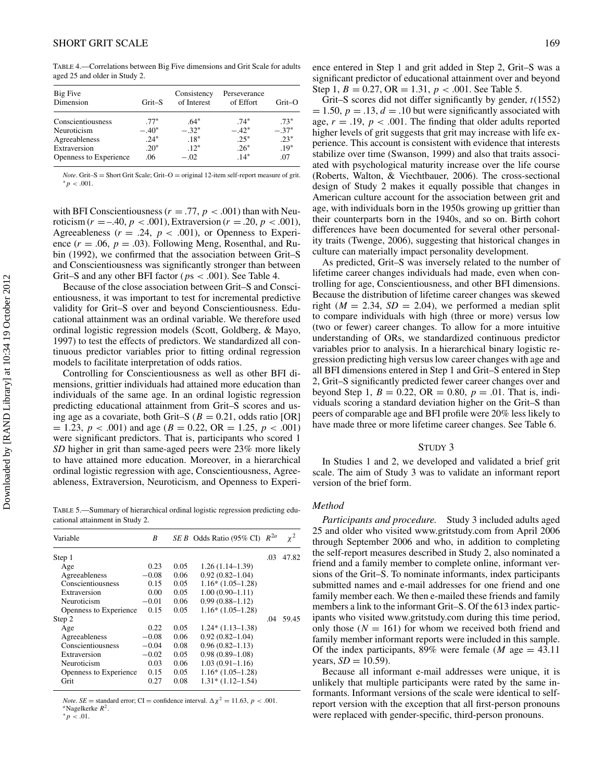TABLE 4.—Correlations between Big Five dimensions and Grit Scale for adults aged 25 and older in Study 2.

| Big Five<br>Dimension  | Grit-S  | Consistency<br>of Interest | Perseverance<br>of Effort | Grit-O  |
|------------------------|---------|----------------------------|---------------------------|---------|
| Conscientiousness      | $.77*$  | $.64*$                     | $.74*$                    | $.73*$  |
| Neuroticism            | $-.40*$ | $-.32*$                    | $-.42*$                   | $-.37*$ |
| Agreeableness          | $.24*$  | $.18*$                     | $.25*$                    | $.23*$  |
| Extraversion           | $.20*$  | $.12*$                     | $.26*$                    | $.19*$  |
| Openness to Experience | .06     | $-.02$                     | $.14*$                    | .07     |

*Note*. Grit–S <sup>=</sup> Short Grit Scale; Grit–O <sup>=</sup> original 12-item self-report measure of grit. <sup>∗</sup>*p <* .001.

with BFI Conscientiousness ( $r = .77$ ,  $p < .001$ ) than with Neuroticism ( $r = -.40, p < .001$ ), Extraversion ( $r = .20, p < .001$ ), Agreeableness  $(r = .24, p < .001)$ , or Openness to Experience  $(r = .06, p = .03)$ . Following Meng, Rosenthal, and Rubin (1992), we confirmed that the association between Grit–S and Conscientiousness was significantly stronger than between Grit–S and any other BFI factor (*p*s *<* .001). See Table 4.

Because of the close association between Grit–S and Conscientiousness, it was important to test for incremental predictive validity for Grit–S over and beyond Conscientiousness. Educational attainment was an ordinal variable. We therefore used ordinal logistic regression models (Scott, Goldberg, & Mayo, 1997) to test the effects of predictors. We standardized all continuous predictor variables prior to fitting ordinal regression models to facilitate interpretation of odds ratios.

Controlling for Conscientiousness as well as other BFI dimensions, grittier individuals had attained more education than individuals of the same age. In an ordinal logistic regression predicting educational attainment from Grit–S scores and using age as a covariate, both Grit–S ( $B = 0.21$ , odds ratio [OR]  $= 1.23, p < .001$  and age ( $B = 0.22, OR = 1.25, p < .001$ ) were significant predictors. That is, participants who scored 1 *SD* higher in grit than same-aged peers were 23% more likely to have attained more education. Moreover, in a hierarchical ordinal logistic regression with age, Conscientiousness, Agreeableness, Extraversion, Neuroticism, and Openness to Experi-

TABLE 5.—Summary of hierarchical ordinal logistic regression predicting educational attainment in Study 2.

| Variable               | B       |      | $SE B$ Odds Ratio (95% CI) | $R^{2a}$ | $\chi^2$ |
|------------------------|---------|------|----------------------------|----------|----------|
| Step 1                 |         |      |                            | .03      | 47.82    |
| Age                    | 0.23    | 0.05 | $1.26(1.14-1.39)$          |          |          |
| Agreeableness          | $-0.08$ | 0.06 | $0.92(0.82 - 1.04)$        |          |          |
| Conscientiousness      | 0.15    | 0.05 | $1.16*(1.05-1.28)$         |          |          |
| Extraversion           | 0.00    | 0.05 | $1.00(0.90 - 1.11)$        |          |          |
| Neuroticism            | $-0.01$ | 0.06 | $0.99(0.88 - 1.12)$        |          |          |
| Openness to Experience | 0.15    | 0.05 | $1.16*(1.05-1.28)$         |          |          |
| Step 2                 |         |      |                            | .04      | 59.45    |
| Age                    | 0.22    | 0.05 | $1.24*(1.13-1.38)$         |          |          |
| Agreeableness          | $-0.08$ | 0.06 | $0.92(0.82 - 1.04)$        |          |          |
| Conscientiousness      | $-0.04$ | 0.08 | $0.96(0.82 - 1.13)$        |          |          |
| Extraversion           | $-0.02$ | 0.05 | $0.98(0.89 - 1.08)$        |          |          |
| Neuroticism            | 0.03    | 0.06 | $1.03(0.91 - 1.16)$        |          |          |
| Openness to Experience | 0.15    | 0.05 | $1.16*(1.05-1.28)$         |          |          |
| Grit                   | 0.27    | 0.08 | $1.31*$ (1.12–1.54)        |          |          |

*Note. SE* = standard error; CI = confidence interval.  $\Delta \chi^2 = 11.63$ , *p* < .001. *a*Nagelkerke *R*<sup>2</sup>. ∗*p <* .01.

ence entered in Step 1 and grit added in Step 2, Grit–S was a significant predictor of educational attainment over and beyond Step 1,  $B = 0.27$ , OR = 1.31,  $p < .001$ . See Table 5.

Grit–S scores did not differ significantly by gender, *t*(1552)  $= 1.50, p = .13, d = .10$  but were significantly associated with age,  $r = .19$ ,  $p < .001$ . The finding that older adults reported higher levels of grit suggests that grit may increase with life experience. This account is consistent with evidence that interests stabilize over time (Swanson, 1999) and also that traits associated with psychological maturity increase over the life course (Roberts, Walton, & Viechtbauer, 2006). The cross-sectional design of Study 2 makes it equally possible that changes in American culture account for the association between grit and age, with individuals born in the 1950s growing up grittier than their counterparts born in the 1940s, and so on. Birth cohort differences have been documented for several other personality traits (Twenge, 2006), suggesting that historical changes in culture can materially impact personality development.

As predicted, Grit–S was inversely related to the number of lifetime career changes individuals had made, even when controlling for age, Conscientiousness, and other BFI dimensions. Because the distribution of lifetime career changes was skewed right ( $M = 2.34$ ,  $SD = 2.04$ ), we performed a median split to compare individuals with high (three or more) versus low (two or fewer) career changes. To allow for a more intuitive understanding of ORs, we standardized continuous predictor variables prior to analysis. In a hierarchical binary logistic regression predicting high versus low career changes with age and all BFI dimensions entered in Step 1 and Grit–S entered in Step 2, Grit–S significantly predicted fewer career changes over and beyond Step 1,  $B = 0.22$ ,  $OR = 0.80$ ,  $p = .01$ . That is, individuals scoring a standard deviation higher on the Grit–S than peers of comparable age and BFI profile were 20% less likely to have made three or more lifetime career changes. See Table 6.

## STUDY 3

In Studies 1 and 2, we developed and validated a brief grit scale. The aim of Study 3 was to validate an informant report version of the brief form.

## *Method*

*Participants and procedure.* Study 3 included adults aged 25 and older who visited www.gritstudy.com from April 2006 through September 2006 and who, in addition to completing the self-report measures described in Study 2, also nominated a friend and a family member to complete online, informant versions of the Grit–S. To nominate informants, index participants submitted names and e-mail addresses for one friend and one family member each. We then e-mailed these friends and family members a link to the informant Grit–S. Of the 613 index participants who visited www.gritstudy.com during this time period, only those  $(N = 161)$  for whom we received both friend and family member informant reports were included in this sample. Of the index participants,  $89\%$  were female (*M* age = 43.11) years,  $SD = 10.59$ .

Because all informant e-mail addresses were unique, it is unlikely that multiple participants were rated by the same informants. Informant versions of the scale were identical to selfreport version with the exception that all first-person pronouns were replaced with gender-specific, third-person pronouns.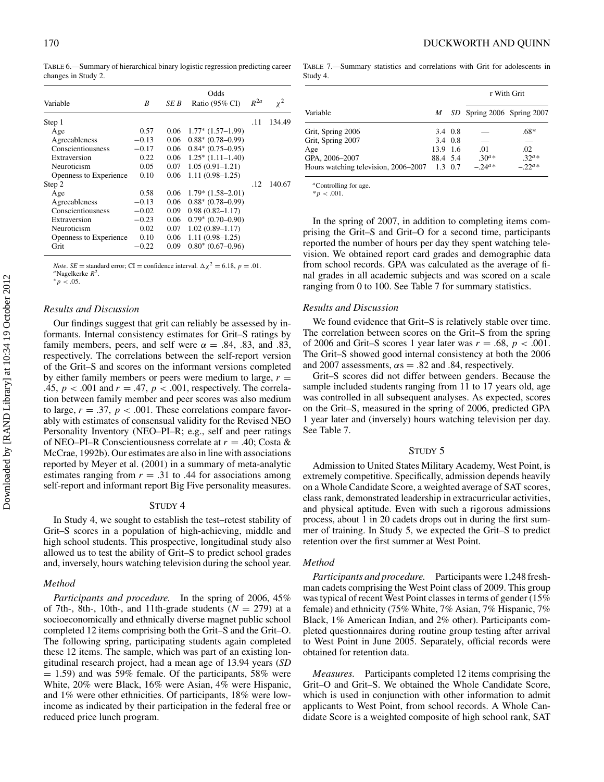TABLE 6.—Summary of hierarchical binary logistic regression predicting career changes in Study 2.

| Variable               | B       | SE B | Odds<br>Ratio (95% CI) | $R^{2a}$ | $\chi^2$ |
|------------------------|---------|------|------------------------|----------|----------|
| Step 1                 |         |      |                        | .11      | 134.49   |
| Age                    | 0.57    | 0.06 | $1.77*$ $(1.57-1.99)$  |          |          |
| Agreeableness          | $-0.13$ | 0.06 | $0.88*$ (0.78-0.99)    |          |          |
| Conscientiousness      | $-0.17$ | 0.06 | $0.84*$ (0.75-0.95)    |          |          |
| Extraversion           | 0.22    | 0.06 | $1.25^*$ $(1.11-1.40)$ |          |          |
| Neuroticism            | 0.05    | 0.07 | $1.05(0.91 - 1.21)$    |          |          |
| Openness to Experience | 0.10    | 0.06 | $1.11(0.98 - 1.25)$    |          |          |
| Step 2                 |         |      |                        | .12      | 140.67   |
| Age                    | 0.58    | 0.06 | $1.79*(1.58-2.01)$     |          |          |
| Agreeableness          | $-0.13$ | 0.06 | $0.88*$ (0.78-0.99)    |          |          |
| Conscientiousness      | $-0.02$ | 0.09 | $0.98(0.82 - 1.17)$    |          |          |
| Extraversion           | $-0.23$ | 0.06 | $0.79*(0.70-0.90)$     |          |          |
| Neuroticism            | 0.02    | 0.07 | $1.02(0.89 - 1.17)$    |          |          |
| Openness to Experience | 0.10    | 0.06 | $1.11(0.98 - 1.25)$    |          |          |
| Grit                   | $-0.22$ | 0.09 | $0.80^*$ (0.67-0.96)   |          |          |

*Note*. *SE* = standard error; CI = confidence interval.  $\Delta \chi^2 = 6.18$ , *p* = .01. *a*Nagelkerke *R*<sup>2</sup>. ∗*p <* .05.

## *Results and Discussion*

Our findings suggest that grit can reliably be assessed by informants. Internal consistency estimates for Grit–S ratings by family members, peers, and self were  $\alpha = .84, .83,$  and  $.83,$ respectively. The correlations between the self-report version of the Grit–S and scores on the informant versions completed by either family members or peers were medium to large,  $r =$ .45, *p <* .001 and *r* = .47, *p <* .001, respectively. The correlation between family member and peer scores was also medium to large,  $r = .37$ ,  $p < .001$ . These correlations compare favorably with estimates of consensual validity for the Revised NEO Personality Inventory (NEO–PI–R; e.g., self and peer ratings of NEO–PI–R Conscientiousness correlate at *r* = .40; Costa & McCrae, 1992b). Our estimates are also in line with associations reported by Meyer et al. (2001) in a summary of meta-analytic estimates ranging from  $r = .31$  to .44 for associations among self-report and informant report Big Five personality measures.

#### STUDY 4

In Study 4, we sought to establish the test–retest stability of Grit–S scores in a population of high-achieving, middle and high school students. This prospective, longitudinal study also allowed us to test the ability of Grit–S to predict school grades and, inversely, hours watching television during the school year.

#### *Method*

*Participants and procedure.* In the spring of 2006, 45% of 7th-, 8th-, 10th-, and 11th-grade students  $(N = 279)$  at a socioeconomically and ethnically diverse magnet public school completed 12 items comprising both the Grit–S and the Grit–O. The following spring, participating students again completed these 12 items. The sample, which was part of an existing longitudinal research project, had a mean age of 13.94 years (*SD*  $= 1.59$ ) and was 59% female. Of the participants, 58% were White, 20% were Black, 16% were Asian, 4% were Hispanic, and 1% were other ethnicities. Of participants, 18% were lowincome as indicated by their participation in the federal free or reduced price lunch program.

TABLE 7.—Summary statistics and correlations with Grit for adolescents in Study 4.

|                                      |          |                 |                            | r With Grit  |
|--------------------------------------|----------|-----------------|----------------------------|--------------|
| Variable                             | M        |                 | SD Spring 2006 Spring 2007 |              |
| Grit, Spring 2006                    |          | 3.4 0.8         |                            | $.68*$       |
| Grit, Spring 2007                    |          | 3.4 0.8         |                            |              |
| Age                                  | 13.9 1.6 |                 | .01                        | .02          |
| GPA, 2006-2007                       | 88.4 5.4 |                 | $.30^{a} *$                | $.32^{a*}$   |
| Hours watching television, 2006–2007 |          | $1.3 \quad 0.7$ | $-.24^{a}$ *               | $-.22^{a}$ * |

*<sup>a</sup>*Controlling for age.

 $*_{p}$  < .001.

In the spring of 2007, in addition to completing items comprising the Grit–S and Grit–O for a second time, participants reported the number of hours per day they spent watching television. We obtained report card grades and demographic data from school records. GPA was calculated as the average of final grades in all academic subjects and was scored on a scale ranging from 0 to 100. See Table 7 for summary statistics.

## *Results and Discussion*

We found evidence that Grit-S is relatively stable over time. The correlation between scores on the Grit–S from the spring of 2006 and Grit–S scores 1 year later was *r* = .68, *p <* .001. The Grit–S showed good internal consistency at both the 2006 and 2007 assessments,  $\alpha s = .82$  and .84, respectively.

Grit–S scores did not differ between genders. Because the sample included students ranging from 11 to 17 years old, age was controlled in all subsequent analyses. As expected, scores on the Grit–S, measured in the spring of 2006, predicted GPA 1 year later and (inversely) hours watching television per day. See Table 7.

## STUDY 5

Admission to United States Military Academy, West Point, is extremely competitive. Specifically, admission depends heavily on a Whole Candidate Score, a weighted average of SAT scores, class rank, demonstrated leadership in extracurricular activities, and physical aptitude. Even with such a rigorous admissions process, about 1 in 20 cadets drops out in during the first summer of training. In Study 5, we expected the Grit–S to predict retention over the first summer at West Point.

#### *Method*

*Participants and procedure.* Participants were 1,248 freshman cadets comprising the West Point class of 2009. This group was typical of recent West Point classes in terms of gender (15% female) and ethnicity (75% White, 7% Asian, 7% Hispanic, 7% Black, 1% American Indian, and 2% other). Participants completed questionnaires during routine group testing after arrival to West Point in June 2005. Separately, official records were obtained for retention data.

*Measures.* Participants completed 12 items comprising the Grit–O and Grit–S. We obtained the Whole Candidate Score, which is used in conjunction with other information to admit applicants to West Point, from school records. A Whole Candidate Score is a weighted composite of high school rank, SAT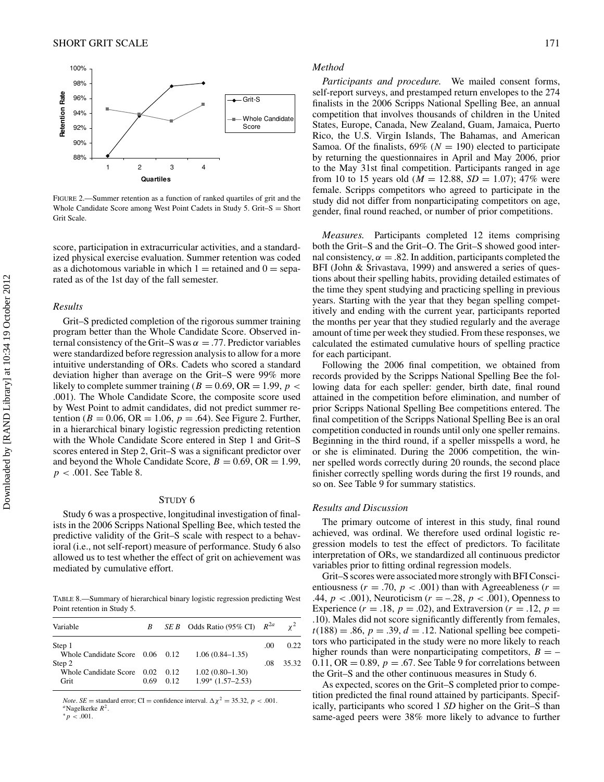

FIGURE 2.—Summer retention as a function of ranked quartiles of grit and the Whole Candidate Score among West Point Cadets in Study 5. Grit– $S =$  Short Grit Scale.

score, participation in extracurricular activities, and a standardized physical exercise evaluation. Summer retention was coded as a dichotomous variable in which  $1 =$  retained and  $0 =$  separated as of the 1st day of the fall semester.

#### *Results*

Grit–S predicted completion of the rigorous summer training program better than the Whole Candidate Score. Observed internal consistency of the Grit–S was  $\alpha = .77$ . Predictor variables were standardized before regression analysis to allow for a more intuitive understanding of ORs. Cadets who scored a standard deviation higher than average on the Grit–S were 99% more likely to complete summer training ( $B = 0.69$ , OR = 1.99,  $p <$ .001). The Whole Candidate Score, the composite score used by West Point to admit candidates, did not predict summer retention ( $B = 0.06$ ,  $OR = 1.06$ ,  $p = .64$ ). See Figure 2. Further, in a hierarchical binary logistic regression predicting retention with the Whole Candidate Score entered in Step 1 and Grit–S scores entered in Step 2, Grit–S was a significant predictor over and beyond the Whole Candidate Score,  $B = 0.69$ , OR = 1.99, *p <* .001. See Table 8.

## STUDY 6

Study 6 was a prospective, longitudinal investigation of finalists in the 2006 Scripps National Spelling Bee, which tested the predictive validity of the Grit–S scale with respect to a behavioral (i.e., not self-report) measure of performance. Study 6 also allowed us to test whether the effect of grit on achievement was mediated by cumulative effort.

TABLE 8.—Summary of hierarchical binary logistic regression predicting West Point retention in Study 5.

| Variable                        | B    |      | SE B Odds Ratio (95% CI) $R^{2a}$ |     |       |
|---------------------------------|------|------|-----------------------------------|-----|-------|
| Step 1                          |      |      |                                   | .00 | 0.22  |
| Whole Candidate Score 0.06 0.12 |      |      | $1.06(0.84 - 1.35)$               |     |       |
| Step 2                          |      |      |                                   | .08 | 35.32 |
| Whole Candidate Score 0.02      |      | 0.12 | $1.02(0.80 - 1.30)$               |     |       |
| Grit                            | 0.69 | 0.12 | $1.99*$ $(1.57-2.53)$             |     |       |

*Note*. *SE* = standard error; CI = confidence interval.  $\Delta \chi^2 = 35.32$ , *p* < .001. *a*Nagelkerke *R*<sup>2</sup>.

## ∗*p <* .001.

#### *Method*

*Participants and procedure.* We mailed consent forms, self-report surveys, and prestamped return envelopes to the 274 finalists in the 2006 Scripps National Spelling Bee, an annual competition that involves thousands of children in the United States, Europe, Canada, New Zealand, Guam, Jamaica, Puerto Rico, the U.S. Virgin Islands, The Bahamas, and American Samoa. Of the finalists,  $69\%$  ( $N = 190$ ) elected to participate by returning the questionnaires in April and May 2006, prior to the May 31st final competition. Participants ranged in age from 10 to 15 years old ( $M = 12.88$ ,  $SD = 1.07$ ); 47% were female. Scripps competitors who agreed to participate in the study did not differ from nonparticipating competitors on age, gender, final round reached, or number of prior competitions.

*Measures.* Participants completed 12 items comprising both the Grit–S and the Grit–O. The Grit–S showed good internal consistency,  $\alpha = 0.82$ . In addition, participants completed the BFI (John & Srivastava, 1999) and answered a series of questions about their spelling habits, providing detailed estimates of the time they spent studying and practicing spelling in previous years. Starting with the year that they began spelling competitively and ending with the current year, participants reported the months per year that they studied regularly and the average amount of time per week they studied. From these responses, we calculated the estimated cumulative hours of spelling practice for each participant.

Following the 2006 final competition, we obtained from records provided by the Scripps National Spelling Bee the following data for each speller: gender, birth date, final round attained in the competition before elimination, and number of prior Scripps National Spelling Bee competitions entered. The final competition of the Scripps National Spelling Bee is an oral competition conducted in rounds until only one speller remains. Beginning in the third round, if a speller misspells a word, he or she is eliminated. During the 2006 competition, the winner spelled words correctly during 20 rounds, the second place finisher correctly spelling words during the first 19 rounds, and so on. See Table 9 for summary statistics.

#### *Results and Discussion*

The primary outcome of interest in this study, final round achieved, was ordinal. We therefore used ordinal logistic regression models to test the effect of predictors. To facilitate interpretation of ORs, we standardized all continuous predictor variables prior to fitting ordinal regression models.

Grit–S scores were associated more strongly with BFI Conscientiousness ( $r = .70$ ,  $p < .001$ ) than with Agreeableness ( $r =$ .44, *p <* .001), Neuroticism (*r* = –.28, *p <* .001), Openness to Experience  $(r = .18, p = .02)$ , and Extraversion  $(r = .12, p =$ .10). Males did not score significantly differently from females,  $t(188) = .86$ ,  $p = .39$ ,  $d = .12$ . National spelling bee competitors who participated in the study were no more likely to reach higher rounds than were nonparticipating competitors,  $B = -$ 0.11, OR = 0.89,  $p = .67$ . See Table 9 for correlations between the Grit–S and the other continuous measures in Study 6.

As expected, scores on the Grit–S completed prior to competition predicted the final round attained by participants. Specifically, participants who scored 1 *SD* higher on the Grit–S than same-aged peers were 38% more likely to advance to further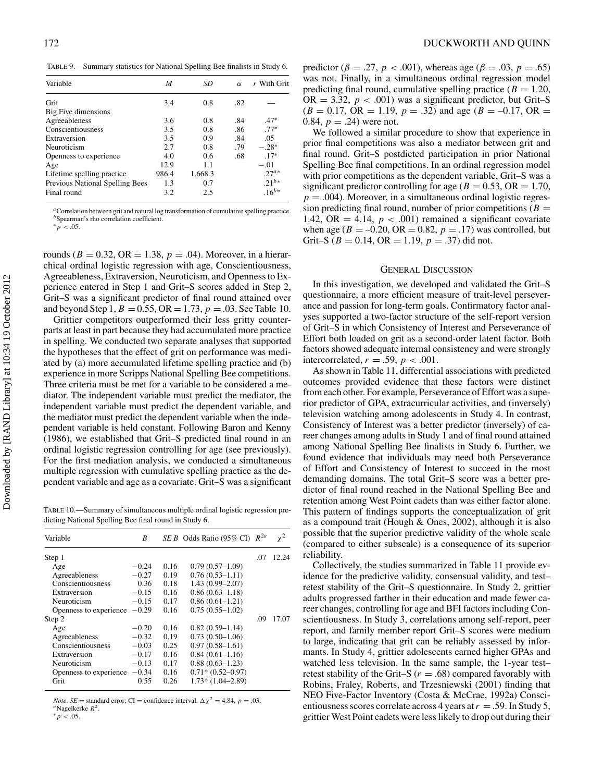TABLE 9.—Summary statistics for National Spelling Bee finalists in Study 6.

| Variable                        | M     | SD      | $\alpha$ | r With Grit |
|---------------------------------|-------|---------|----------|-------------|
| Grit                            | 3.4   | 0.8     | .82      |             |
| Big Five dimensions             |       |         |          |             |
| Agreeableness                   | 3.6   | 0.8     | .84      | $.47*$      |
| Conscientiousness               | 3.5   | 0.8     | .86      | $.77*$      |
| Extraversion                    | 3.5   | 0.9     | .84      | .05         |
| Neuroticism                     | 2.7   | 0.8     | .79      | $-.28*$     |
| Openness to experience          | 4.0   | 0.6     | .68      | $.17*$      |
| Age                             | 12.9  | 1.1     |          | $-.01$      |
| Lifetime spelling practice      | 986.4 | 1,668.3 |          | $27^{a*}$   |
| Previous National Spelling Bees | 1.3   | 0.7     |          | $.21^{b*}$  |
| Final round                     | 3.2   | 2.5     |          | $.16^{b*}$  |

*<sup>a</sup>*Correlation between grit and natural log transformation of cumulative spelling practice. *<sup>b</sup>*Spearman's rho correlation coefficient.

∗*p <* .05.

rounds ( $B = 0.32$ ,  $OR = 1.38$ ,  $p = .04$ ). Moreover, in a hierarchical ordinal logistic regression with age, Conscientiousness, Agreeableness, Extraversion, Neuroticism, and Openness to Experience entered in Step 1 and Grit–S scores added in Step 2, Grit–S was a significant predictor of final round attained over and beyond Step 1,  $B = 0.55$ , OR = 1.73,  $p = .03$ . See Table 10.

Grittier competitors outperformed their less gritty counterparts at least in part because they had accumulated more practice in spelling. We conducted two separate analyses that supported the hypotheses that the effect of grit on performance was mediated by (a) more accumulated lifetime spelling practice and (b) experience in more Scripps National Spelling Bee competitions. Three criteria must be met for a variable to be considered a mediator. The independent variable must predict the mediator, the independent variable must predict the dependent variable, and the mediator must predict the dependent variable when the independent variable is held constant. Following Baron and Kenny (1986), we established that Grit–S predicted final round in an ordinal logistic regression controlling for age (see previously). For the first mediation analysis, we conducted a simultaneous multiple regression with cumulative spelling practice as the dependent variable and age as a covariate. Grit–S was a significant

TABLE 10.—Summary of simultaneous multiple ordinal logistic regression predicting National Spelling Bee final round in Study 6.

| Variable               | B       |      | $SE B$ Odds Ratio (95% CI) | $R^{2a}$ | $x^2$ |
|------------------------|---------|------|----------------------------|----------|-------|
| Step 1                 |         |      |                            | .07      | 12.24 |
| Age                    | $-0.24$ | 0.16 | $0.79(0.57-1.09)$          |          |       |
| Agreeableness          | $-0.27$ | 0.19 | $0.76(0.53 - 1.11)$        |          |       |
| Conscientiousness      | 0.36    | 0.18 | $1.43(0.99 - 2.07)$        |          |       |
| Extraversion           | $-0.15$ | 0.16 | $0.86(0.63 - 1.18)$        |          |       |
| Neuroticism            | $-0.15$ | 0.17 | $0.86(0.61 - 1.21)$        |          |       |
| Openness to experience | $-0.29$ | 0.16 | $0.75(0.55-1.02)$          |          |       |
| Step 2                 |         |      |                            | .09      | 17.07 |
| Age                    | $-0.20$ | 0.16 | $0.82(0.59-1.14)$          |          |       |
| Agreeableness          | $-0.32$ | 0.19 | $0.73(0.50-1.06)$          |          |       |
| Conscientiousness      | $-0.03$ | 0.25 | $0.97(0.58 - 1.61)$        |          |       |
| Extraversion           | $-0.17$ | 0.16 | $0.84(0.61 - 1.16)$        |          |       |
| Neuroticism            | $-0.13$ | 0.17 | $0.88(0.63 - 1.23)$        |          |       |
| Openness to experience | $-0.34$ | 0.16 | $0.71*(0.52-0.97)$         |          |       |
| Grit                   | 0.55    | 0.26 | $1.73*(1.04-2.89)$         |          |       |

*Note*. *SE* = standard error; CI = confidence interval.  $\Delta \chi^2 = 4.84$ , *p* = .03. *a*Nagelkerke *R*<sup>2</sup>.

∗*p <* .05.

predictor ( $\beta = .27$ ,  $p < .001$ ), whereas age ( $\beta = .03$ ,  $p = .65$ ) was not. Finally, in a simultaneous ordinal regression model predicting final round, cumulative spelling practice ( $B = 1.20$ , OR  $= 3.32$ ,  $p < .001$ ) was a significant predictor, but Grit–S  $(B = 0.17, \text{ OR } = 1.19, p = .32)$  and age  $(B = -0.17, \text{ OR } =$ 0.84,  $p = .24$ ) were not.

We followed a similar procedure to show that experience in prior final competitions was also a mediator between grit and final round. Grit–S postdicted participation in prior National Spelling Bee final competitions. In an ordinal regression model with prior competitions as the dependent variable, Grit–S was a significant predictor controlling for age ( $B = 0.53$ ,  $OR = 1.70$ ,  $p = .004$ ). Moreover, in a simultaneous ordinal logistic regression predicting final round, number of prior competitions ( $B =$ 1.42, OR  $=$  4.14,  $p < .001$ ) remained a significant covariate when age ( $B = -0.20$ , OR = 0.82,  $p = .17$ ) was controlled, but Grit–S ( $B = 0.14$ , OR = 1.19,  $p = .37$ ) did not.

#### GENERAL DISCUSSION

In this investigation, we developed and validated the Grit–S questionnaire, a more efficient measure of trait-level perseverance and passion for long-term goals. Confirmatory factor analyses supported a two-factor structure of the self-report version of Grit–S in which Consistency of Interest and Perseverance of Effort both loaded on grit as a second-order latent factor. Both factors showed adequate internal consistency and were strongly intercorrelated,  $r = .59$ ,  $p < .001$ .

As shown in Table 11, differential associations with predicted outcomes provided evidence that these factors were distinct from each other. For example, Perseverance of Effort was a superior predictor of GPA, extracurricular activities, and (inversely) television watching among adolescents in Study 4. In contrast, Consistency of Interest was a better predictor (inversely) of career changes among adults in Study 1 and of final round attained among National Spelling Bee finalists in Study 6. Further, we found evidence that individuals may need both Perseverance of Effort and Consistency of Interest to succeed in the most demanding domains. The total Grit–S score was a better predictor of final round reached in the National Spelling Bee and retention among West Point cadets than was either factor alone. This pattern of findings supports the conceptualization of grit as a compound trait (Hough & Ones, 2002), although it is also possible that the superior predictive validity of the whole scale (compared to either subscale) is a consequence of its superior reliability.

Collectively, the studies summarized in Table 11 provide evidence for the predictive validity, consensual validity, and test– retest stability of the Grit–S questionnaire. In Study 2, grittier adults progressed farther in their education and made fewer career changes, controlling for age and BFI factors including Conscientiousness. In Study 3, correlations among self-report, peer report, and family member report Grit–S scores were medium to large, indicating that grit can be reliably assessed by informants. In Study 4, grittier adolescents earned higher GPAs and watched less television. In the same sample, the 1-year test– retest stability of the Grit–S  $(r = .68)$  compared favorably with Robins, Fraley, Roberts, and Trzesniewski (2001) finding that NEO Five-Factor Inventory (Costa & McCrae, 1992a) Conscientiousness scores correlate across 4 years at*r* = .59. In Study 5, grittier West Point cadets were less likely to drop out during their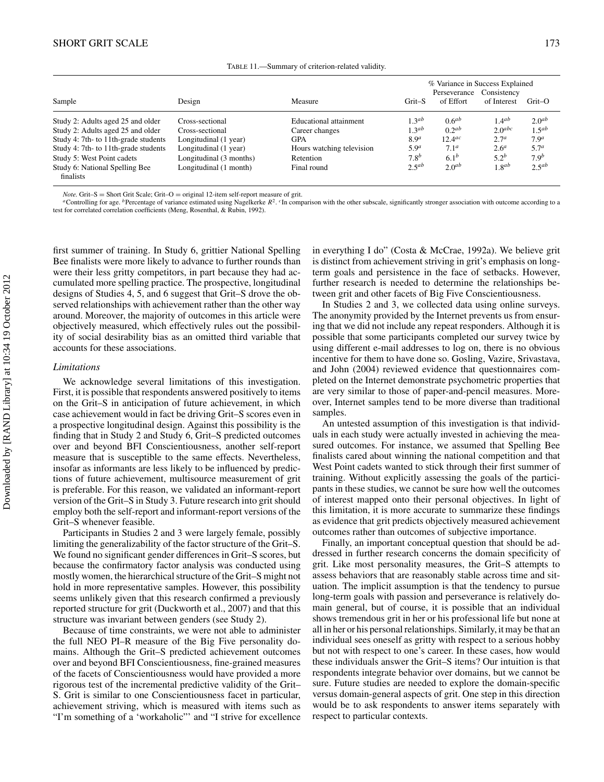| TABLE 11.—Summary of criterion-related validity. |
|--------------------------------------------------|
|--------------------------------------------------|

|                                             |                         |                           | % Variance in Success Explained<br>Consistency<br>Perseverance |                      |                  |                   |
|---------------------------------------------|-------------------------|---------------------------|----------------------------------------------------------------|----------------------|------------------|-------------------|
| Sample                                      | Design                  | Measure                   | Grit-S                                                         | of Effort            | of Interest      | $Grit$ -O         |
| Study 2: Adults aged 25 and older           | Cross-sectional         | Educational attainment    | $1.3^{ab}$                                                     | 0.6 <sup>ab</sup>    | $1.4^{ab}$       | 2.0 <sup>ab</sup> |
| Study 2: Adults aged 25 and older           | Cross-sectional         | Career changes            | 1.3 <sup>ab</sup>                                              | 0.2 <sup>ab</sup>    | $2.0$ abc        | 1.5 <sup>ab</sup> |
| Study 4: 7th- to 11th-grade students        | Longitudinal (1 year)   | <b>GPA</b>                | 8.9 <sup>a</sup>                                               | $12.4$ <sup>ac</sup> | 2.7 <sup>a</sup> | 7.9 <sup>a</sup>  |
| Study 4: 7th- to 11th-grade students        | Longitudinal (1 year)   | Hours watching television | 5.9 <sup>a</sup>                                               | 7.1 <sup>a</sup>     | 2.6 <sup>a</sup> | 5.7 <sup>a</sup>  |
| Study 5: West Point cadets                  | Longitudinal (3 months) | Retention                 | 7.8 <sup>b</sup>                                               | $6.1^{b}$            | $5.2^{b}$        | 7.9 <sup>b</sup>  |
| Study 6: National Spelling Bee<br>finalists | Longitudinal (1 month)  | Final round               | $2.5^{ab}$                                                     | 2.0 <sup>ab</sup>    | 1.8ab            | $2.5^{ab}$        |

*Note.* Grit–S = Short Grit Scale; Grit–O = original 12-item self-report measure of grit.<br>"Controlling for age. <sup>b</sup> Percentage of variance estimated using Nagelkerke  $R^2$ . The comparison with the other subscale, signific test for correlated correlation coefficients (Meng, Rosenthal, & Rubin, 1992).

first summer of training. In Study 6, grittier National Spelling Bee finalists were more likely to advance to further rounds than were their less gritty competitors, in part because they had accumulated more spelling practice. The prospective, longitudinal designs of Studies 4, 5, and 6 suggest that Grit–S drove the observed relationships with achievement rather than the other way around. Moreover, the majority of outcomes in this article were objectively measured, which effectively rules out the possibility of social desirability bias as an omitted third variable that accounts for these associations.

#### *Limitations*

We acknowledge several limitations of this investigation. First, it is possible that respondents answered positively to items on the Grit–S in anticipation of future achievement, in which case achievement would in fact be driving Grit–S scores even in a prospective longitudinal design. Against this possibility is the finding that in Study 2 and Study 6, Grit–S predicted outcomes over and beyond BFI Conscientiousness, another self-report measure that is susceptible to the same effects. Nevertheless, insofar as informants are less likely to be influenced by predictions of future achievement, multisource measurement of grit is preferable. For this reason, we validated an informant-report version of the Grit–S in Study 3. Future research into grit should employ both the self-report and informant-report versions of the Grit–S whenever feasible.

Participants in Studies 2 and 3 were largely female, possibly limiting the generalizability of the factor structure of the Grit–S. We found no significant gender differences in Grit–S scores, but because the confirmatory factor analysis was conducted using mostly women, the hierarchical structure of the Grit–S might not hold in more representative samples. However, this possibility seems unlikely given that this research confirmed a previously reported structure for grit (Duckworth et al., 2007) and that this structure was invariant between genders (see Study 2).

Because of time constraints, we were not able to administer the full NEO PI–R measure of the Big Five personality domains. Although the Grit–S predicted achievement outcomes over and beyond BFI Conscientiousness, fine-grained measures of the facets of Conscientiousness would have provided a more rigorous test of the incremental predictive validity of the Grit– S. Grit is similar to one Conscientiousness facet in particular, achievement striving, which is measured with items such as "I'm something of a 'workaholic"' and "I strive for excellence

in everything I do" (Costa & McCrae, 1992a). We believe grit is distinct from achievement striving in grit's emphasis on longterm goals and persistence in the face of setbacks. However, further research is needed to determine the relationships between grit and other facets of Big Five Conscientiousness.

In Studies 2 and 3, we collected data using online surveys. The anonymity provided by the Internet prevents us from ensuring that we did not include any repeat responders. Although it is possible that some participants completed our survey twice by using different e-mail addresses to log on, there is no obvious incentive for them to have done so. Gosling, Vazire, Srivastava, and John (2004) reviewed evidence that questionnaires completed on the Internet demonstrate psychometric properties that are very similar to those of paper-and-pencil measures. Moreover, Internet samples tend to be more diverse than traditional samples.

An untested assumption of this investigation is that individuals in each study were actually invested in achieving the measured outcomes. For instance, we assumed that Spelling Bee finalists cared about winning the national competition and that West Point cadets wanted to stick through their first summer of training. Without explicitly assessing the goals of the participants in these studies, we cannot be sure how well the outcomes of interest mapped onto their personal objectives. In light of this limitation, it is more accurate to summarize these findings as evidence that grit predicts objectively measured achievement outcomes rather than outcomes of subjective importance.

Finally, an important conceptual question that should be addressed in further research concerns the domain specificity of grit. Like most personality measures, the Grit–S attempts to assess behaviors that are reasonably stable across time and situation. The implicit assumption is that the tendency to pursue long-term goals with passion and perseverance is relatively domain general, but of course, it is possible that an individual shows tremendous grit in her or his professional life but none at all in her or his personal relationships. Similarly, it may be that an individual sees oneself as gritty with respect to a serious hobby but not with respect to one's career. In these cases, how would these individuals answer the Grit–S items? Our intuition is that respondents integrate behavior over domains, but we cannot be sure. Future studies are needed to explore the domain-specific versus domain-general aspects of grit. One step in this direction would be to ask respondents to answer items separately with respect to particular contexts.